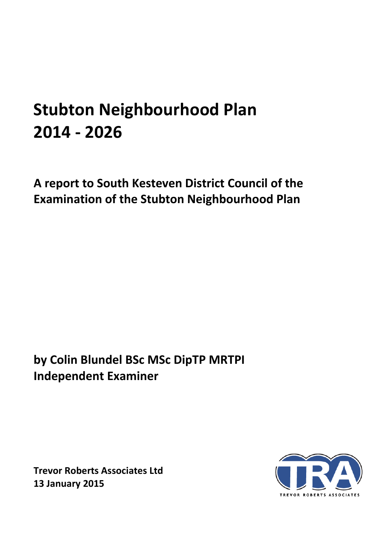# **Stubton Neighbourhood Plan 2014 - 2026**

**A report to South Kesteven District Council of the Examination of the Stubton Neighbourhood Plan** 

**by Colin Blundel BSc MSc DipTP MRTPI Independent Examiner** 

**Trevor Roberts Associates Ltd 13 January 2015**

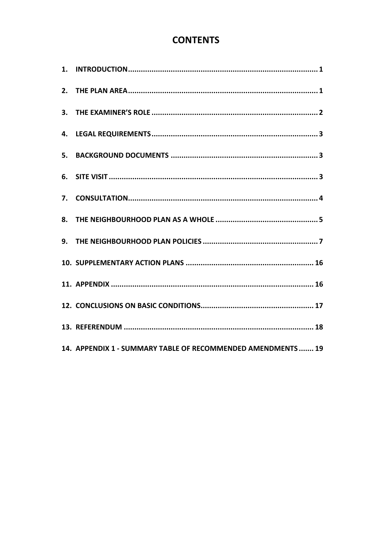# **CONTENTS**

| 4. |                                                              |
|----|--------------------------------------------------------------|
|    |                                                              |
|    |                                                              |
|    |                                                              |
| 8. |                                                              |
|    |                                                              |
|    |                                                              |
|    |                                                              |
|    |                                                              |
|    |                                                              |
|    | 14. APPENDIX 1 - SUMMARY TABLE OF RECOMMENDED AMENDMENTS  19 |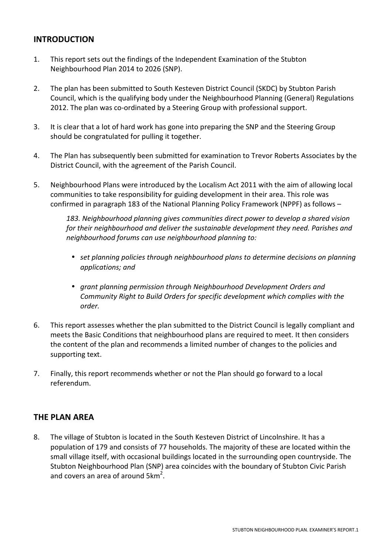## **INTRODUCTION**

- 1. This report sets out the findings of the Independent Examination of the Stubton Neighbourhood Plan 2014 to 2026 (SNP).
- 2. The plan has been submitted to South Kesteven District Council (SKDC) by Stubton Parish Council, which is the qualifying body under the Neighbourhood Planning (General) Regulations 2012. The plan was co-ordinated by a Steering Group with professional support.
- 3. It is clear that a lot of hard work has gone into preparing the SNP and the Steering Group should be congratulated for pulling it together.
- 4. The Plan has subsequently been submitted for examination to Trevor Roberts Associates by the District Council, with the agreement of the Parish Council.
- 5. Neighbourhood Plans were introduced by the Localism Act 2011 with the aim of allowing local communities to take responsibility for guiding development in their area. This role was confirmed in paragraph 183 of the National Planning Policy Framework (NPPF) as follows –

*183. Neighbourhood planning gives communities direct power to develop a shared vision for their neighbourhood and deliver the sustainable development they need. Parishes and neighbourhood forums can use neighbourhood planning to:* 

- *set planning policies through neighbourhood plans to determine decisions on planning applications; and*
- *grant planning permission through Neighbourhood Development Orders and Community Right to Build Orders for specific development which complies with the order.*
- 6. This report assesses whether the plan submitted to the District Council is legally compliant and meets the Basic Conditions that neighbourhood plans are required to meet. It then considers the content of the plan and recommends a limited number of changes to the policies and supporting text.
- 7. Finally, this report recommends whether or not the Plan should go forward to a local referendum.

## **THE PLAN AREA**

8. The village of Stubton is located in the South Kesteven District of Lincolnshire. It has a population of 179 and consists of 77 households. The majority of these are located within the small village itself, with occasional buildings located in the surrounding open countryside. The Stubton Neighbourhood Plan (SNP) area coincides with the boundary of Stubton Civic Parish and covers an area of around  $5km^2$ .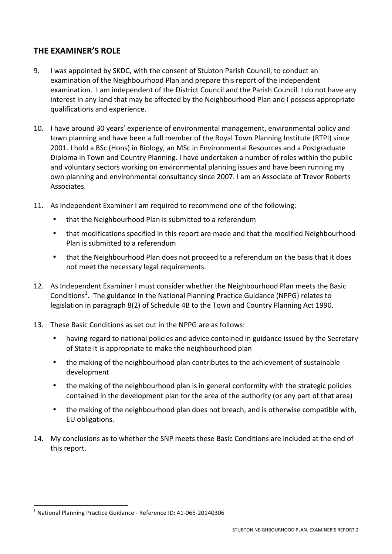## **THE EXAMINER'S ROLE**

- 9. I was appointed by SKDC, with the consent of Stubton Parish Council, to conduct an examination of the Neighbourhood Plan and prepare this report of the independent examination. I am independent of the District Council and the Parish Council. I do not have any interest in any land that may be affected by the Neighbourhood Plan and I possess appropriate qualifications and experience.
- 10. I have around 30 years' experience of environmental management, environmental policy and town planning and have been a full member of the Royal Town Planning Institute (RTPI) since 2001. I hold a BSc (Hons) in Biology, an MSc in Environmental Resources and a Postgraduate Diploma in Town and Country Planning. I have undertaken a number of roles within the public and voluntary sectors working on environmental planning issues and have been running my own planning and environmental consultancy since 2007. I am an Associate of Trevor Roberts Associates.
- 11. As Independent Examiner I am required to recommend one of the following:
	- that the Neighbourhood Plan is submitted to a referendum
	- that modifications specified in this report are made and that the modified Neighbourhood Plan is submitted to a referendum
	- that the Neighbourhood Plan does not proceed to a referendum on the basis that it does not meet the necessary legal requirements.
- 12. As Independent Examiner I must consider whether the Neighbourhood Plan meets the Basic Conditions<sup>1</sup>. The guidance in the National Planning Practice Guidance (NPPG) relates to legislation in paragraph 8(2) of Schedule 4B to the Town and Country Planning Act 1990.
- 13. These Basic Conditions as set out in the NPPG are as follows:
	- having regard to national policies and advice contained in guidance issued by the Secretary of State it is appropriate to make the neighbourhood plan
	- the making of the neighbourhood plan contributes to the achievement of sustainable development
	- the making of the neighbourhood plan is in general conformity with the strategic policies contained in the development plan for the area of the authority (or any part of that area)
	- the making of the neighbourhood plan does not breach, and is otherwise compatible with, EU obligations.
- 14. My conclusions as to whether the SNP meets these Basic Conditions are included at the end of this report.

 $<sup>1</sup>$  National Planning Practice Guidance - Reference ID: 41-065-20140306</sup>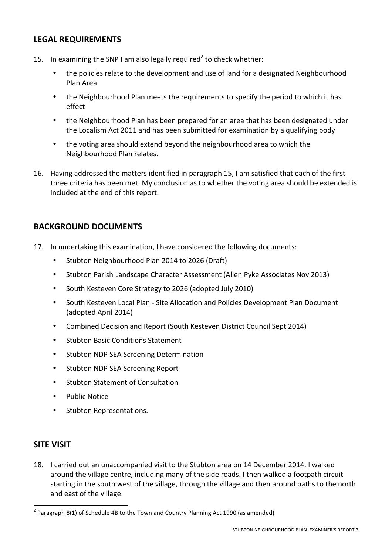## **LEGAL REQUIREMENTS**

- 15. In examining the SNP I am also legally required<sup>2</sup> to check whether:
	- the policies relate to the development and use of land for a designated Neighbourhood Plan Area
	- the Neighbourhood Plan meets the requirements to specify the period to which it has effect
	- the Neighbourhood Plan has been prepared for an area that has been designated under the Localism Act 2011 and has been submitted for examination by a qualifying body
	- the voting area should extend beyond the neighbourhood area to which the Neighbourhood Plan relates.
- 16. Having addressed the matters identified in paragraph 15, I am satisfied that each of the first three criteria has been met. My conclusion as to whether the voting area should be extended is included at the end of this report.

## **BACKGROUND DOCUMENTS**

- 17. In undertaking this examination, I have considered the following documents:
	- Stubton Neighbourhood Plan 2014 to 2026 (Draft)
	- Stubton Parish Landscape Character Assessment (Allen Pyke Associates Nov 2013)
	- South Kesteven Core Strategy to 2026 (adopted July 2010)
	- South Kesteven Local Plan Site Allocation and Policies Development Plan Document (adopted April 2014)
	- Combined Decision and Report (South Kesteven District Council Sept 2014)
	- **Stubton Basic Conditions Statement**
	- Stubton NDP SEA Screening Determination
	- Stubton NDP SEA Screening Report
	- Stubton Statement of Consultation
	- Public Notice
	- Stubton Representations.

#### **SITE VISIT**

 $\overline{a}$ 

18. I carried out an unaccompanied visit to the Stubton area on 14 December 2014. I walked around the village centre, including many of the side roads. I then walked a footpath circuit starting in the south west of the village, through the village and then around paths to the north and east of the village.

<sup>&</sup>lt;sup>2</sup> Paragraph 8(1) of Schedule 4B to the Town and Country Planning Act 1990 (as amended)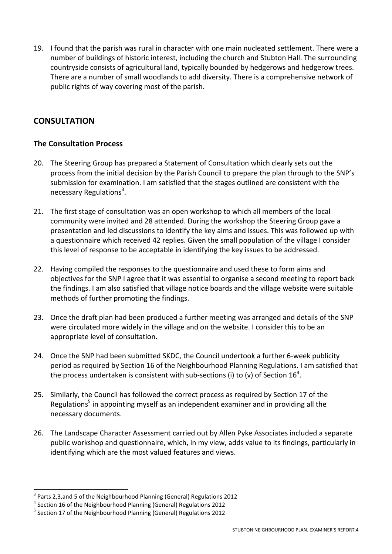19. I found that the parish was rural in character with one main nucleated settlement. There were a number of buildings of historic interest, including the church and Stubton Hall. The surrounding countryside consists of agricultural land, typically bounded by hedgerows and hedgerow trees. There are a number of small woodlands to add diversity. There is a comprehensive network of public rights of way covering most of the parish.

## **CONSULTATION**

## **The Consultation Process**

- 20. The Steering Group has prepared a Statement of Consultation which clearly sets out the process from the initial decision by the Parish Council to prepare the plan through to the SNP's submission for examination. I am satisfied that the stages outlined are consistent with the necessary Regulations<sup>3</sup>.
- 21. The first stage of consultation was an open workshop to which all members of the local community were invited and 28 attended. During the workshop the Steering Group gave a presentation and led discussions to identify the key aims and issues. This was followed up with a questionnaire which received 42 replies. Given the small population of the village I consider this level of response to be acceptable in identifying the key issues to be addressed.
- 22. Having compiled the responses to the questionnaire and used these to form aims and objectives for the SNP I agree that it was essential to organise a second meeting to report back the findings. I am also satisfied that village notice boards and the village website were suitable methods of further promoting the findings.
- 23. Once the draft plan had been produced a further meeting was arranged and details of the SNP were circulated more widely in the village and on the website. I consider this to be an appropriate level of consultation.
- 24. Once the SNP had been submitted SKDC, the Council undertook a further 6-week publicity period as required by Section 16 of the Neighbourhood Planning Regulations. I am satisfied that the process undertaken is consistent with sub-sections (i) to (v) of Section 16<sup>4</sup>.
- 25. Similarly, the Council has followed the correct process as required by Section 17 of the Regulations<sup>5</sup> in appointing myself as an independent examiner and in providing all the necessary documents.
- 26. The Landscape Character Assessment carried out by Allen Pyke Associates included a separate public workshop and questionnaire, which, in my view, adds value to its findings, particularly in identifying which are the most valued features and views.

 $^3$  Parts 2,3,and 5 of the Neighbourhood Planning (General) Regulations 2012

<sup>&</sup>lt;sup>4</sup> Section 16 of the Neighbourhood Planning (General) Regulations 2012

 $<sup>5</sup>$  Section 17 of the Neighbourhood Planning (General) Regulations 2012</sup>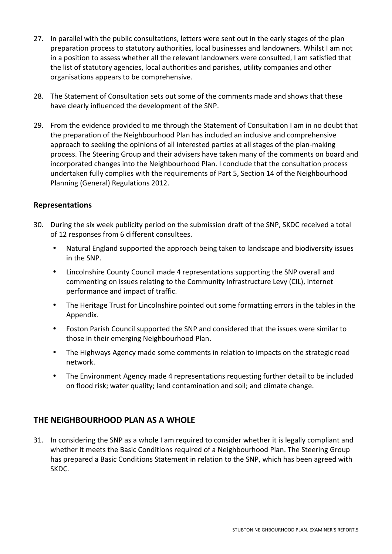- 27. In parallel with the public consultations, letters were sent out in the early stages of the plan preparation process to statutory authorities, local businesses and landowners. Whilst I am not in a position to assess whether all the relevant landowners were consulted, I am satisfied that the list of statutory agencies, local authorities and parishes, utility companies and other organisations appears to be comprehensive.
- 28. The Statement of Consultation sets out some of the comments made and shows that these have clearly influenced the development of the SNP.
- 29. From the evidence provided to me through the Statement of Consultation I am in no doubt that the preparation of the Neighbourhood Plan has included an inclusive and comprehensive approach to seeking the opinions of all interested parties at all stages of the plan-making process. The Steering Group and their advisers have taken many of the comments on board and incorporated changes into the Neighbourhood Plan. I conclude that the consultation process undertaken fully complies with the requirements of Part 5, Section 14 of the Neighbourhood Planning (General) Regulations 2012.

#### **Representations**

- 30. During the six week publicity period on the submission draft of the SNP, SKDC received a total of 12 responses from 6 different consultees.
	- Natural England supported the approach being taken to landscape and biodiversity issues in the SNP.
	- Lincolnshire County Council made 4 representations supporting the SNP overall and commenting on issues relating to the Community Infrastructure Levy (CIL), internet performance and impact of traffic.
	- The Heritage Trust for Lincolnshire pointed out some formatting errors in the tables in the Appendix.
	- Foston Parish Council supported the SNP and considered that the issues were similar to those in their emerging Neighbourhood Plan.
	- The Highways Agency made some comments in relation to impacts on the strategic road network.
	- The Environment Agency made 4 representations requesting further detail to be included on flood risk; water quality; land contamination and soil; and climate change.

#### **THE NEIGHBOURHOOD PLAN AS A WHOLE**

31. In considering the SNP as a whole I am required to consider whether it is legally compliant and whether it meets the Basic Conditions required of a Neighbourhood Plan. The Steering Group has prepared a Basic Conditions Statement in relation to the SNP, which has been agreed with SKDC.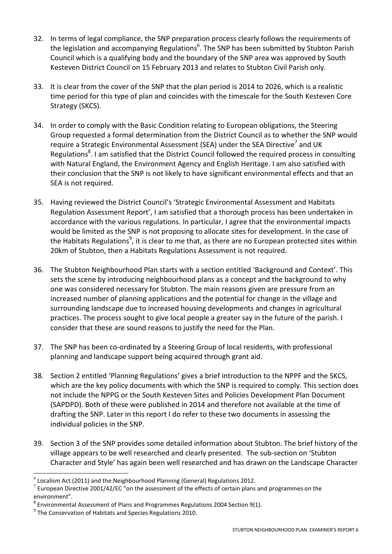- 32. In terms of legal compliance, the SNP preparation process clearly follows the requirements of the legislation and accompanying Regulations<sup>6</sup>. The SNP has been submitted by Stubton Parish Council which is a qualifying body and the boundary of the SNP area was approved by South Kesteven District Council on 15 February 2013 and relates to Stubton Civil Parish only.
- 33. It is clear from the cover of the SNP that the plan period is 2014 to 2026, which is a realistic time period for this type of plan and coincides with the timescale for the South Kesteven Core Strategy (SKCS).
- 34. In order to comply with the Basic Condition relating to European obligations, the Steering Group requested a formal determination from the District Council as to whether the SNP would require a Strategic Environmental Assessment (SEA) under the SEA Directive<sup>7</sup> and UK Regulations<sup>8</sup>. I am satisfied that the District Council followed the required process in consulting with Natural England, the Environment Agency and English Heritage. I am also satisfied with their conclusion that the SNP is not likely to have significant environmental effects and that an SEA is not required.
- 35. Having reviewed the District Council's 'Strategic Environmental Assessment and Habitats Regulation Assessment Report', I am satisfied that a thorough process has been undertaken in accordance with the various regulations. In particular, I agree that the environmental impacts would be limited as the SNP is not proposing to allocate sites for development. In the case of the Habitats Regulations<sup>9</sup>, it is clear to me that, as there are no European protected sites within 20km of Stubton, then a Habitats Regulations Assessment is not required.
- 36. The Stubton Neighbourhood Plan starts with a section entitled 'Background and Context'. This sets the scene by introducing neighbourhood plans as a concept and the background to why one was considered necessary for Stubton. The main reasons given are pressure from an increased number of planning applications and the potential for change in the village and surrounding landscape due to increased housing developments and changes in agricultural practices. The process sought to give local people a greater say in the future of the parish. I consider that these are sound reasons to justify the need for the Plan.
- 37. The SNP has been co-ordinated by a Steering Group of local residents, with professional planning and landscape support being acquired through grant aid.
- 38. Section 2 entitled 'Planning Regulations' gives a brief introduction to the NPPF and the SKCS, which are the key policy documents with which the SNP is required to comply. This section does not include the NPPG or the South Kesteven Sites and Policies Development Plan Document (SAPDPD). Both of these were published in 2014 and therefore not available at the time of drafting the SNP. Later in this report I do refer to these two documents in assessing the individual policies in the SNP.
- 39. Section 3 of the SNP provides some detailed information about Stubton. The brief history of the village appears to be well researched and clearly presented. The sub-section on 'Stubton Character and Style' has again been well researched and has drawn on the Landscape Character

 6 Localism Act (2011) and the Neighbourhood Planning (General) Regulations 2012.

 $^7$  European Directive 2001/42/EC "on the assessment of the effects of certain plans and programmes on the environment".

 $^8$  Environmental Assessment of Plans and Programmes Regulations 2004 Section 9(1).

 $^{9}$  The Conservation of Habitats and Species Regulations 2010.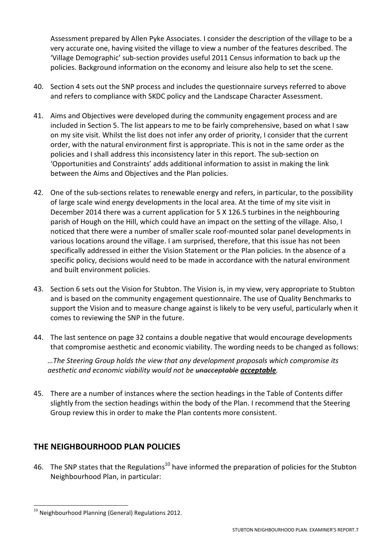Assessment prepared by Allen Pyke Associates. I consider the description of the village to be a very accurate one, having visited the village to view a number of the features described. The 'Village Demographic' sub-section provides useful 2011 Census information to back up the policies. Background information on the economy and leisure also help to set the scene.

- 40. Section 4 sets out the SNP process and includes the questionnaire surveys referred to above and refers to compliance with SKDC policy and the Landscape Character Assessment.
- 41. Aims and Objectives were developed during the community engagement process and are included in Section 5. The list appears to me to be fairly comprehensive, based on what I saw on my site visit. Whilst the list does not infer any order of priority, I consider that the current order, with the natural environment first is appropriate. This is not in the same order as the policies and I shall address this inconsistency later in this report. The sub-section on 'Opportunities and Constraints' adds additional information to assist in making the link between the Aims and Objectives and the Plan policies.
- 42. One of the sub-sections relates to renewable energy and refers, in particular, to the possibility of large scale wind energy developments in the local area. At the time of my site visit in December 2014 there was a current application for 5 X 126.5 turbines in the neighbouring parish of Hough on the Hill, which could have an impact on the setting of the village. Also, I noticed that there were a number of smaller scale roof-mounted solar panel developments in various locations around the village. I am surprised, therefore, that this issue has not been specifically addressed in either the Vision Statement or the Plan policies. In the absence of a specific policy, decisions would need to be made in accordance with the natural environment and built environment policies.
- 43. Section 6 sets out the Vision for Stubton. The Vision is, in my view, very appropriate to Stubton and is based on the community engagement questionnaire. The use of Quality Benchmarks to support the Vision and to measure change against is likely to be very useful, particularly when it comes to reviewing the SNP in the future.
- 44. The last sentence on page 32 contains a double negative that would encourage developments that compromise aesthetic and economic viability. The wording needs to be changed as follows:

*…The Steering Group holds the view that any development proposals which compromise its aesthetic and economic viability would not be unacceptable acceptable.* 

45. There are a number of instances where the section headings in the Table of Contents differ slightly from the section headings within the body of the Plan. I recommend that the Steering Group review this in order to make the Plan contents more consistent.

## **THE NEIGHBOURHOOD PLAN POLICIES**

46. The SNP states that the Regulations<sup>10</sup> have informed the preparation of policies for the Stubton Neighbourhood Plan, in particular:

 $^{10}$  Neighbourhood Planning (General) Regulations 2012.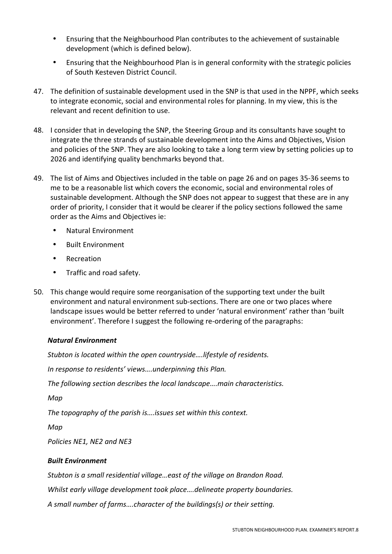- Ensuring that the Neighbourhood Plan contributes to the achievement of sustainable development (which is defined below).
- Ensuring that the Neighbourhood Plan is in general conformity with the strategic policies of South Kesteven District Council.
- 47. The definition of sustainable development used in the SNP is that used in the NPPF, which seeks to integrate economic, social and environmental roles for planning. In my view, this is the relevant and recent definition to use.
- 48. I consider that in developing the SNP, the Steering Group and its consultants have sought to integrate the three strands of sustainable development into the Aims and Objectives, Vision and policies of the SNP. They are also looking to take a long term view by setting policies up to 2026 and identifying quality benchmarks beyond that.
- 49. The list of Aims and Objectives included in the table on page 26 and on pages 35-36 seems to me to be a reasonable list which covers the economic, social and environmental roles of sustainable development. Although the SNP does not appear to suggest that these are in any order of priority, I consider that it would be clearer if the policy sections followed the same order as the Aims and Objectives ie:
	- Natural Environment
	- Built Environment
	- Recreation
	- Traffic and road safety.
- 50. This change would require some reorganisation of the supporting text under the built environment and natural environment sub-sections. There are one or two places where landscape issues would be better referred to under 'natural environment' rather than 'built environment'. Therefore I suggest the following re-ordering of the paragraphs:

#### *Natural Environment*

*Stubton is located within the open countryside….lifestyle of residents.* 

*In response to residents' views….underpinning this Plan.* 

*The following section describes the local landscape….main characteristics.* 

*Map* 

*The topography of the parish is….issues set within this context.* 

*Map* 

*Policies NE1, NE2 and NE3* 

#### *Built Environment*

*Stubton is a small residential village…east of the village on Brandon Road.* 

*Whilst early village development took place….delineate property boundaries.* 

*A small number of farms….character of the buildings(s) or their setting.*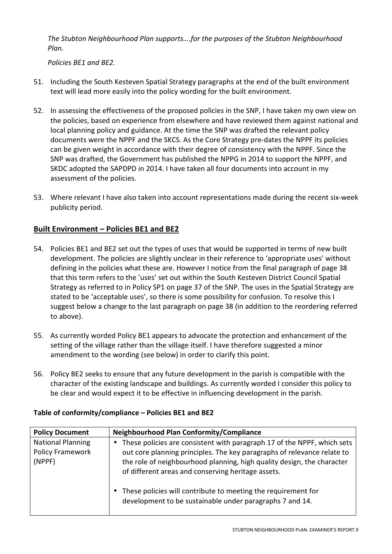*The Stubton Neighbourhood Plan supports….for the purposes of the Stubton Neighbourhood Plan.* 

*Policies BE1 and BE2.* 

- 51. Including the South Kesteven Spatial Strategy paragraphs at the end of the built environment text will lead more easily into the policy wording for the built environment.
- 52. In assessing the effectiveness of the proposed policies in the SNP, I have taken my own view on the policies, based on experience from elsewhere and have reviewed them against national and local planning policy and guidance. At the time the SNP was drafted the relevant policy documents were the NPPF and the SKCS. As the Core Strategy pre-dates the NPPF its policies can be given weight in accordance with their degree of consistency with the NPPF. Since the SNP was drafted, the Government has published the NPPG in 2014 to support the NPPF, and SKDC adopted the SAPDPD in 2014. I have taken all four documents into account in my assessment of the policies.
- 53. Where relevant I have also taken into account representations made during the recent six-week publicity period.

## **Built Environment – Policies BE1 and BE2**

- 54. Policies BE1 and BE2 set out the types of uses that would be supported in terms of new built development. The policies are slightly unclear in their reference to 'appropriate uses' without defining in the policies what these are. However I notice from the final paragraph of page 38 that this term refers to the 'uses' set out within the South Kesteven District Council Spatial Strategy as referred to in Policy SP1 on page 37 of the SNP. The uses in the Spatial Strategy are stated to be 'acceptable uses', so there is some possibility for confusion. To resolve this I suggest below a change to the last paragraph on page 38 (in addition to the reordering referred to above).
- 55. As currently worded Policy BE1 appears to advocate the protection and enhancement of the setting of the village rather than the village itself. I have therefore suggested a minor amendment to the wording (see below) in order to clarify this point.
- 56. Policy BE2 seeks to ensure that any future development in the parish is compatible with the character of the existing landscape and buildings. As currently worded I consider this policy to be clear and would expect it to be effective in influencing development in the parish.

| <b>Policy Document</b>                                                     | Neighbourhood Plan Conformity/Compliance                                                                                                                                                                                                                                           |
|----------------------------------------------------------------------------|------------------------------------------------------------------------------------------------------------------------------------------------------------------------------------------------------------------------------------------------------------------------------------|
| <b>National Planning</b><br>$\bullet$<br><b>Policy Framework</b><br>(NPPF) | These policies are consistent with paragraph 17 of the NPPF, which sets<br>out core planning principles. The key paragraphs of relevance relate to<br>the role of neighbourhood planning, high quality design, the character<br>of different areas and conserving heritage assets. |
|                                                                            | These policies will contribute to meeting the requirement for<br>$\bullet$<br>development to be sustainable under paragraphs 7 and 14.                                                                                                                                             |

#### **Table of conformity/compliance – Policies BE1 and BE2**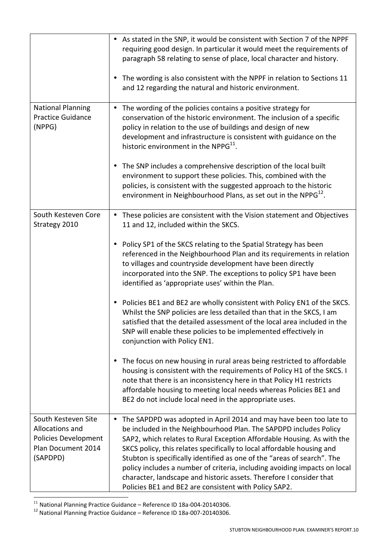|                                                                                                         | • As stated in the SNP, it would be consistent with Section 7 of the NPPF<br>requiring good design. In particular it would meet the requirements of<br>paragraph 58 relating to sense of place, local character and history.<br>The wording is also consistent with the NPPF in relation to Sections 11<br>and 12 regarding the natural and historic environment.                                                                                                                                                                                                                                |
|---------------------------------------------------------------------------------------------------------|--------------------------------------------------------------------------------------------------------------------------------------------------------------------------------------------------------------------------------------------------------------------------------------------------------------------------------------------------------------------------------------------------------------------------------------------------------------------------------------------------------------------------------------------------------------------------------------------------|
| <b>National Planning</b><br><b>Practice Guidance</b><br>(NPPG)                                          | The wording of the policies contains a positive strategy for<br>$\bullet$<br>conservation of the historic environment. The inclusion of a specific<br>policy in relation to the use of buildings and design of new<br>development and infrastructure is consistent with guidance on the<br>historic environment in the NPPG <sup>11</sup> .                                                                                                                                                                                                                                                      |
|                                                                                                         | The SNP includes a comprehensive description of the local built<br>environment to support these policies. This, combined with the<br>policies, is consistent with the suggested approach to the historic<br>environment in Neighbourhood Plans, as set out in the NPP $G^{12}$ .                                                                                                                                                                                                                                                                                                                 |
| South Kesteven Core<br>Strategy 2010                                                                    | These policies are consistent with the Vision statement and Objectives<br>$\bullet$<br>11 and 12, included within the SKCS.                                                                                                                                                                                                                                                                                                                                                                                                                                                                      |
|                                                                                                         | Policy SP1 of the SKCS relating to the Spatial Strategy has been<br>referenced in the Neighbourhood Plan and its requirements in relation<br>to villages and countryside development have been directly<br>incorporated into the SNP. The exceptions to policy SP1 have been<br>identified as 'appropriate uses' within the Plan.                                                                                                                                                                                                                                                                |
|                                                                                                         | Policies BE1 and BE2 are wholly consistent with Policy EN1 of the SKCS.<br>Whilst the SNP policies are less detailed than that in the SKCS, I am<br>satisfied that the detailed assessment of the local area included in the<br>SNP will enable these policies to be implemented effectively in<br>conjunction with Policy EN1.                                                                                                                                                                                                                                                                  |
|                                                                                                         | The focus on new housing in rural areas being restricted to affordable<br>housing is consistent with the requirements of Policy H1 of the SKCS. I<br>note that there is an inconsistency here in that Policy H1 restricts<br>affordable housing to meeting local needs whereas Policies BE1 and<br>BE2 do not include local need in the appropriate uses.                                                                                                                                                                                                                                        |
| South Kesteven Site<br>Allocations and<br><b>Policies Development</b><br>Plan Document 2014<br>(SAPDPD) | The SAPDPD was adopted in April 2014 and may have been too late to<br>$\bullet$<br>be included in the Neighbourhood Plan. The SAPDPD includes Policy<br>SAP2, which relates to Rural Exception Affordable Housing. As with the<br>SKCS policy, this relates specifically to local affordable housing and<br>Stubton is specifically identified as one of the "areas of search". The<br>policy includes a number of criteria, including avoiding impacts on local<br>character, landscape and historic assets. Therefore I consider that<br>Policies BE1 and BE2 are consistent with Policy SAP2. |

 $^{11}$  National Planning Practice Guidance – Reference ID 18a-004-20140306.

 $^{12}$  National Planning Practice Guidance – Reference ID 18a-007-20140306.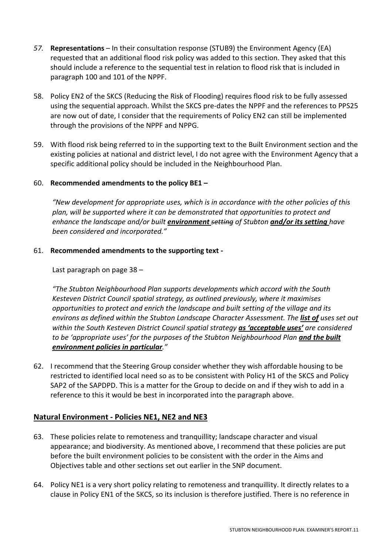- *57.* **Representations** In their consultation response (STUB9) the Environment Agency (EA) requested that an additional flood risk policy was added to this section. They asked that this should include a reference to the sequential test in relation to flood risk that is included in paragraph 100 and 101 of the NPPF.
- 58. Policy EN2 of the SKCS (Reducing the Risk of Flooding) requires flood risk to be fully assessed using the sequential approach. Whilst the SKCS pre-dates the NPPF and the references to PPS25 are now out of date, I consider that the requirements of Policy EN2 can still be implemented through the provisions of the NPPF and NPPG.
- 59. With flood risk being referred to in the supporting text to the Built Environment section and the existing policies at national and district level, I do not agree with the Environment Agency that a specific additional policy should be included in the Neighbourhood Plan.

#### 60. **Recommended amendments to the policy BE1 –**

*"New development for appropriate uses, which is in accordance with the other policies of this plan, will be supported where it can be demonstrated that opportunities to protect and enhance the landscape and/or built environment setting of Stubton and/or its setting have been considered and incorporated."* 

61. **Recommended amendments to the supporting text -** 

Last paragraph on page 38 –

*"The Stubton Neighbourhood Plan supports developments which accord with the South Kesteven District Council spatial strategy, as outlined previously, where it maximises opportunities to protect and enrich the landscape and built setting of the village and its environs as defined within the Stubton Landscape Character Assessment. The list of uses set out within the South Kesteven District Council spatial strategy as 'acceptable uses' are considered*  to be 'appropriate uses' for the purposes of the Stubton Neighbourhood Plan and the built *environment policies in particular."* 

62. I recommend that the Steering Group consider whether they wish affordable housing to be restricted to identified local need so as to be consistent with Policy H1 of the SKCS and Policy SAP2 of the SAPDPD. This is a matter for the Group to decide on and if they wish to add in a reference to this it would be best in incorporated into the paragraph above.

#### **Natural Environment - Policies NE1, NE2 and NE3**

- 63. These policies relate to remoteness and tranquillity; landscape character and visual appearance; and biodiversity. As mentioned above, I recommend that these policies are put before the built environment policies to be consistent with the order in the Aims and Objectives table and other sections set out earlier in the SNP document.
- 64. Policy NE1 is a very short policy relating to remoteness and tranquillity. It directly relates to a clause in Policy EN1 of the SKCS, so its inclusion is therefore justified. There is no reference in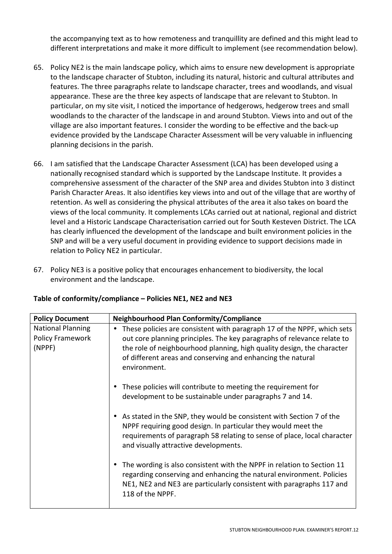the accompanying text as to how remoteness and tranquillity are defined and this might lead to different interpretations and make it more difficult to implement (see recommendation below).

- 65. Policy NE2 is the main landscape policy, which aims to ensure new development is appropriate to the landscape character of Stubton, including its natural, historic and cultural attributes and features. The three paragraphs relate to landscape character, trees and woodlands, and visual appearance. These are the three key aspects of landscape that are relevant to Stubton. In particular, on my site visit, I noticed the importance of hedgerows, hedgerow trees and small woodlands to the character of the landscape in and around Stubton. Views into and out of the village are also important features. I consider the wording to be effective and the back-up evidence provided by the Landscape Character Assessment will be very valuable in influencing planning decisions in the parish.
- 66. I am satisfied that the Landscape Character Assessment (LCA) has been developed using a nationally recognised standard which is supported by the Landscape Institute. It provides a comprehensive assessment of the character of the SNP area and divides Stubton into 3 distinct Parish Character Areas. It also identifies key views into and out of the village that are worthy of retention. As well as considering the physical attributes of the area it also takes on board the views of the local community. It complements LCAs carried out at national, regional and district level and a Historic Landscape Characterisation carried out for South Kesteven District. The LCA has clearly influenced the development of the landscape and built environment policies in the SNP and will be a very useful document in providing evidence to support decisions made in relation to Policy NE2 in particular.
- 67. Policy NE3 is a positive policy that encourages enhancement to biodiversity, the local environment and the landscape.

| <b>Policy Document</b>                                        | Neighbourhood Plan Conformity/Compliance                                                                                                                                                                                                                                                                                 |
|---------------------------------------------------------------|--------------------------------------------------------------------------------------------------------------------------------------------------------------------------------------------------------------------------------------------------------------------------------------------------------------------------|
| <b>National Planning</b><br><b>Policy Framework</b><br>(NPPF) | These policies are consistent with paragraph 17 of the NPPF, which sets<br>$\bullet$<br>out core planning principles. The key paragraphs of relevance relate to<br>the role of neighbourhood planning, high quality design, the character<br>of different areas and conserving and enhancing the natural<br>environment. |
|                                                               | These policies will contribute to meeting the requirement for<br>development to be sustainable under paragraphs 7 and 14.                                                                                                                                                                                                |
|                                                               | As stated in the SNP, they would be consistent with Section 7 of the<br>$\bullet$<br>NPPF requiring good design. In particular they would meet the<br>requirements of paragraph 58 relating to sense of place, local character<br>and visually attractive developments.                                                  |
|                                                               | The wording is also consistent with the NPPF in relation to Section 11<br>$\bullet$<br>regarding conserving and enhancing the natural environment. Policies<br>NE1, NE2 and NE3 are particularly consistent with paragraphs 117 and<br>118 of the NPPF.                                                                  |

## **Table of conformity/compliance – Policies NE1, NE2 and NE3**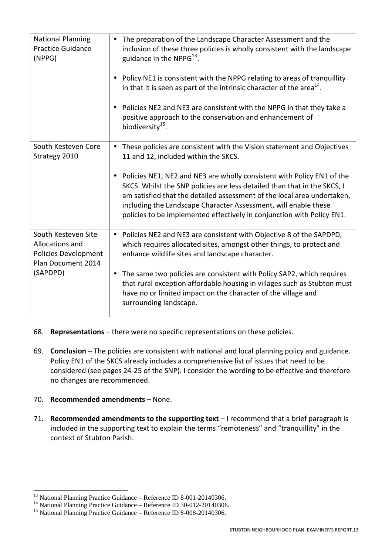| <b>National Planning</b><br><b>Practice Guidance</b><br>(NPPG)                              | The preparation of the Landscape Character Assessment and the<br>inclusion of these three policies is wholly consistent with the landscape<br>guidance in the NPPG <sup>13</sup> .                                                                                                                                                                                                      |
|---------------------------------------------------------------------------------------------|-----------------------------------------------------------------------------------------------------------------------------------------------------------------------------------------------------------------------------------------------------------------------------------------------------------------------------------------------------------------------------------------|
|                                                                                             | Policy NE1 is consistent with the NPPG relating to areas of tranquillity<br>$\bullet$<br>in that it is seen as part of the intrinsic character of the area <sup>14</sup> .                                                                                                                                                                                                              |
|                                                                                             | Policies NE2 and NE3 are consistent with the NPPG in that they take a<br>$\bullet$<br>positive approach to the conservation and enhancement of<br>biodiversity <sup>15</sup> .                                                                                                                                                                                                          |
| South Kesteven Core<br>Strategy 2010                                                        | These policies are consistent with the Vision statement and Objectives<br>$\bullet$<br>11 and 12, included within the SKCS.                                                                                                                                                                                                                                                             |
|                                                                                             | Policies NE1, NE2 and NE3 are wholly consistent with Policy EN1 of the<br>$\bullet$<br>SKCS. Whilst the SNP policies are less detailed than that in the SKCS, I<br>am satisfied that the detailed assessment of the local area undertaken,<br>including the Landscape Character Assessment, will enable these<br>policies to be implemented effectively in conjunction with Policy EN1. |
| South Kesteven Site<br>Allocations and<br><b>Policies Development</b><br>Plan Document 2014 | Policies NE2 and NE3 are consistent with Objective 8 of the SAPDPD,<br>$\bullet$<br>which requires allocated sites, amongst other things, to protect and<br>enhance wildlife sites and landscape character.                                                                                                                                                                             |
| (SAPDPD)                                                                                    | The same two policies are consistent with Policy SAP2, which requires<br>$\bullet$<br>that rural exception affordable housing in villages such as Stubton must<br>have no or limited impact on the character of the village and<br>surrounding landscape.                                                                                                                               |

- 68. **Representations** there were no specific representations on these policies.
- 69. **Conclusion**  The policies are consistent with national and local planning policy and guidance. Policy EN1 of the SKCS already includes a comprehensive list of issues that need to be considered (see pages 24-25 of the SNP). I consider the wording to be effective and therefore no changes are recommended.

#### 70. **Recommended amendments** – None.

71. **Recommended amendments to the supporting text** – I recommend that a brief paragraph is included in the supporting text to explain the terms "remoteness" and "tranquillity" in the context of Stubton Parish.

 $\overline{a}$  $13$  National Planning Practice Guidance – Reference ID 8-001-20140306.

<sup>&</sup>lt;sup>14</sup> National Planning Practice Guidance – Reference ID 30-012-20140306.

<sup>&</sup>lt;sup>15</sup> National Planning Practice Guidance – Reference ID 8-008-20140306.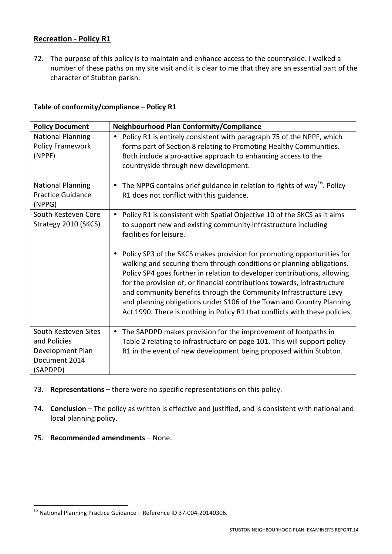## **Recreation - Policy R1**

72. The purpose of this policy is to maintain and enhance access to the countryside. I walked a number of these paths on my site visit and it is clear to me that they are an essential part of the character of Stubton parish.

#### **Table of conformity/compliance – Policy R1**

| <b>Policy Document</b>                                                                | <b>Neighbourhood Plan Conformity/Compliance</b>                                                                                                                                                                                                                                                                                                                                                                                                                                                                                                                                                                                                                                                                          |
|---------------------------------------------------------------------------------------|--------------------------------------------------------------------------------------------------------------------------------------------------------------------------------------------------------------------------------------------------------------------------------------------------------------------------------------------------------------------------------------------------------------------------------------------------------------------------------------------------------------------------------------------------------------------------------------------------------------------------------------------------------------------------------------------------------------------------|
| <b>National Planning</b><br>Policy Framework<br>(NPPF)                                | Policy R1 is entirely consistent with paragraph 75 of the NPPF, which<br>forms part of Section 8 relating to Promoting Healthy Communities.<br>Both include a pro-active approach to enhancing access to the<br>countryside through new development.                                                                                                                                                                                                                                                                                                                                                                                                                                                                     |
| <b>National Planning</b><br><b>Practice Guidance</b><br>(NPPG)                        | The NPPG contains brief guidance in relation to rights of way <sup>16</sup> . Policy<br>٠<br>R1 does not conflict with this guidance.                                                                                                                                                                                                                                                                                                                                                                                                                                                                                                                                                                                    |
| South Kesteven Core<br>Strategy 2010 (SKCS)                                           | Policy R1 is consistent with Spatial Objective 10 of the SKCS as it aims<br>$\bullet$<br>to support new and existing community infrastructure including<br>facilities for leisure.<br>Policy SP3 of the SKCS makes provision for promoting opportunities for<br>walking and securing them through conditions or planning obligations.<br>Policy SP4 goes further in relation to developer contributions, allowing<br>for the provision of, or financial contributions towards, infrastructure<br>and community benefits through the Community Infrastructure Levy<br>and planning obligations under S106 of the Town and Country Planning<br>Act 1990. There is nothing in Policy R1 that conflicts with these policies. |
| South Kesteven Sites<br>and Policies<br>Development Plan<br>Document 2014<br>(SAPDPD) | The SAPDPD makes provision for the improvement of footpaths in<br>$\bullet$<br>Table 2 relating to infrastructure on page 101. This will support policy<br>R1 in the event of new development being proposed within Stubton.                                                                                                                                                                                                                                                                                                                                                                                                                                                                                             |

- 73. **Representations** there were no specific representations on this policy.
- 74. **Conclusion** The policy as written is effective and justified, and is consistent with national and local planning policy.
- 75. **Recommended amendments** None.

<sup>&</sup>lt;sup>16</sup> National Planning Practice Guidance - Reference ID 37-004-20140306.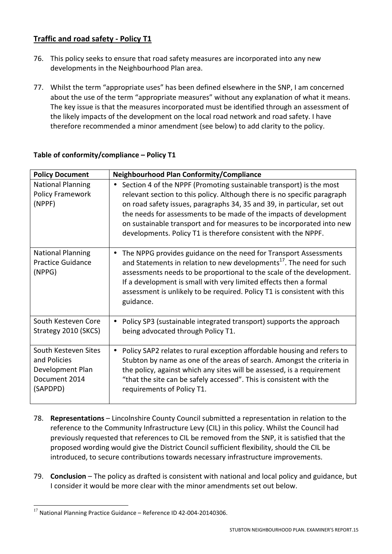## **Traffic and road safety - Policy T1**

- 76. This policy seeks to ensure that road safety measures are incorporated into any new developments in the Neighbourhood Plan area.
- 77. Whilst the term "appropriate uses" has been defined elsewhere in the SNP, I am concerned about the use of the term "appropriate measures" without any explanation of what it means. The key issue is that the measures incorporated must be identified through an assessment of the likely impacts of the development on the local road network and road safety. I have therefore recommended a minor amendment (see below) to add clarity to the policy.

| <b>Policy Document</b>                                                                | <b>Neighbourhood Plan Conformity/Compliance</b>                                                                                                                                                                                                                                                                                                                                                                                                          |
|---------------------------------------------------------------------------------------|----------------------------------------------------------------------------------------------------------------------------------------------------------------------------------------------------------------------------------------------------------------------------------------------------------------------------------------------------------------------------------------------------------------------------------------------------------|
| <b>National Planning</b><br><b>Policy Framework</b><br>(NPPF)                         | Section 4 of the NPPF (Promoting sustainable transport) is the most<br>$\bullet$<br>relevant section to this policy. Although there is no specific paragraph<br>on road safety issues, paragraphs 34, 35 and 39, in particular, set out<br>the needs for assessments to be made of the impacts of development<br>on sustainable transport and for measures to be incorporated into new<br>developments. Policy T1 is therefore consistent with the NPPF. |
| <b>National Planning</b><br><b>Practice Guidance</b><br>(NPPG)                        | The NPPG provides guidance on the need for Transport Assessments<br>$\bullet$<br>and Statements in relation to new developments <sup>17</sup> . The need for such<br>assessments needs to be proportional to the scale of the development.<br>If a development is small with very limited effects then a formal<br>assessment is unlikely to be required. Policy T1 is consistent with this<br>guidance.                                                 |
| South Kesteven Core<br>Strategy 2010 (SKCS)                                           | Policy SP3 (sustainable integrated transport) supports the approach<br>$\bullet$<br>being advocated through Policy T1.                                                                                                                                                                                                                                                                                                                                   |
| South Kesteven Sites<br>and Policies<br>Development Plan<br>Document 2014<br>(SAPDPD) | Policy SAP2 relates to rural exception affordable housing and refers to<br>$\bullet$<br>Stubton by name as one of the areas of search. Amongst the criteria in<br>the policy, against which any sites will be assessed, is a requirement<br>"that the site can be safely accessed". This is consistent with the<br>requirements of Policy T1.                                                                                                            |

## **Table of conformity/compliance – Policy T1**

- 78. **Representations**  Lincolnshire County Council submitted a representation in relation to the reference to the Community Infrastructure Levy (CIL) in this policy. Whilst the Council had previously requested that references to CIL be removed from the SNP, it is satisfied that the proposed wording would give the District Council sufficient flexibility, should the CIL be introduced, to secure contributions towards necessary infrastructure improvements.
- 79. **Conclusion** The policy as drafted is consistent with national and local policy and guidance, but I consider it would be more clear with the minor amendments set out below.

 $17$  National Planning Practice Guidance – Reference ID 42-004-20140306.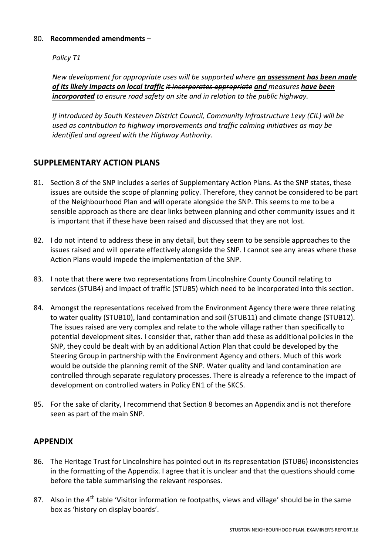#### 80. **Recommended amendments** –

*Policy T1* 

*New development for appropriate uses will be supported where an assessment has been made of its likely impacts on local traffic it incorporates appropriate and measures have been incorporated to ensure road safety on site and in relation to the public highway.* 

*If introduced by South Kesteven District Council, Community Infrastructure Levy (CIL) will be used as contribution to highway improvements and traffic calming initiatives as may be identified and agreed with the Highway Authority.* 

## **SUPPLEMENTARY ACTION PLANS**

- 81. Section 8 of the SNP includes a series of Supplementary Action Plans. As the SNP states, these issues are outside the scope of planning policy. Therefore, they cannot be considered to be part of the Neighbourhood Plan and will operate alongside the SNP. This seems to me to be a sensible approach as there are clear links between planning and other community issues and it is important that if these have been raised and discussed that they are not lost.
- 82. I do not intend to address these in any detail, but they seem to be sensible approaches to the issues raised and will operate effectively alongside the SNP. I cannot see any areas where these Action Plans would impede the implementation of the SNP.
- 83. I note that there were two representations from Lincolnshire County Council relating to services (STUB4) and impact of traffic (STUB5) which need to be incorporated into this section.
- 84. Amongst the representations received from the Environment Agency there were three relating to water quality (STUB10), land contamination and soil (STUB11) and climate change (STUB12). The issues raised are very complex and relate to the whole village rather than specifically to potential development sites. I consider that, rather than add these as additional policies in the SNP, they could be dealt with by an additional Action Plan that could be developed by the Steering Group in partnership with the Environment Agency and others. Much of this work would be outside the planning remit of the SNP. Water quality and land contamination are controlled through separate regulatory processes. There is already a reference to the impact of development on controlled waters in Policy EN1 of the SKCS.
- 85. For the sake of clarity, I recommend that Section 8 becomes an Appendix and is not therefore seen as part of the main SNP.

## **APPENDIX**

- 86. The Heritage Trust for Lincolnshire has pointed out in its representation (STUB6) inconsistencies in the formatting of the Appendix. I agree that it is unclear and that the questions should come before the table summarising the relevant responses.
- 87. Also in the  $4<sup>th</sup>$  table 'Visitor information re footpaths, views and village' should be in the same box as 'history on display boards'.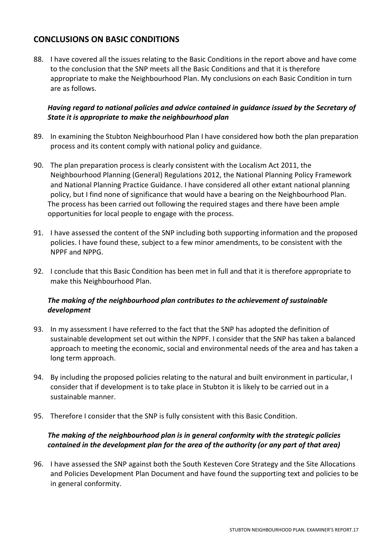## **CONCLUSIONS ON BASIC CONDITIONS**

88. I have covered all the issues relating to the Basic Conditions in the report above and have come to the conclusion that the SNP meets all the Basic Conditions and that it is therefore appropriate to make the Neighbourhood Plan. My conclusions on each Basic Condition in turn are as follows.

#### *Having regard to national policies and advice contained in guidance issued by the Secretary of State it is appropriate to make the neighbourhood plan*

- 89. In examining the Stubton Neighbourhood Plan I have considered how both the plan preparation process and its content comply with national policy and guidance.
- 90. The plan preparation process is clearly consistent with the Localism Act 2011, the Neighbourhood Planning (General) Regulations 2012, the National Planning Policy Framework and National Planning Practice Guidance. I have considered all other extant national planning policy, but I find none of significance that would have a bearing on the Neighbourhood Plan. The process has been carried out following the required stages and there have been ample opportunities for local people to engage with the process.
- 91. I have assessed the content of the SNP including both supporting information and the proposed policies. I have found these, subject to a few minor amendments, to be consistent with the NPPF and NPPG.
- 92. I conclude that this Basic Condition has been met in full and that it is therefore appropriate to make this Neighbourhood Plan.

#### *The making of the neighbourhood plan contributes to the achievement of sustainable development*

- 93. In my assessment I have referred to the fact that the SNP has adopted the definition of sustainable development set out within the NPPF. I consider that the SNP has taken a balanced approach to meeting the economic, social and environmental needs of the area and has taken a long term approach.
- 94. By including the proposed policies relating to the natural and built environment in particular, I consider that if development is to take place in Stubton it is likely to be carried out in a sustainable manner.
- 95. Therefore I consider that the SNP is fully consistent with this Basic Condition.

#### *The making of the neighbourhood plan is in general conformity with the strategic policies contained in the development plan for the area of the authority (or any part of that area)*

96. I have assessed the SNP against both the South Kesteven Core Strategy and the Site Allocations and Policies Development Plan Document and have found the supporting text and policies to be in general conformity.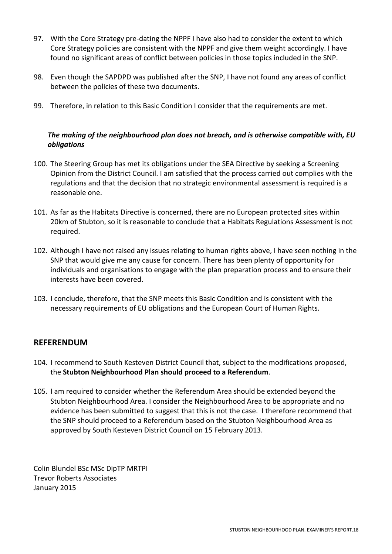- 97. With the Core Strategy pre-dating the NPPF I have also had to consider the extent to which Core Strategy policies are consistent with the NPPF and give them weight accordingly. I have found no significant areas of conflict between policies in those topics included in the SNP.
- 98. Even though the SAPDPD was published after the SNP, I have not found any areas of conflict between the policies of these two documents.
- 99. Therefore, in relation to this Basic Condition I consider that the requirements are met.

## *The making of the neighbourhood plan does not breach, and is otherwise compatible with, EU obligations*

- 100. The Steering Group has met its obligations under the SEA Directive by seeking a Screening Opinion from the District Council. I am satisfied that the process carried out complies with the regulations and that the decision that no strategic environmental assessment is required is a reasonable one.
- 101. As far as the Habitats Directive is concerned, there are no European protected sites within 20km of Stubton, so it is reasonable to conclude that a Habitats Regulations Assessment is not required.
- 102. Although I have not raised any issues relating to human rights above, I have seen nothing in the SNP that would give me any cause for concern. There has been plenty of opportunity for individuals and organisations to engage with the plan preparation process and to ensure their interests have been covered.
- 103. I conclude, therefore, that the SNP meets this Basic Condition and is consistent with the necessary requirements of EU obligations and the European Court of Human Rights.

## **REFERENDUM**

- 104. I recommend to South Kesteven District Council that, subject to the modifications proposed, the **Stubton Neighbourhood Plan should proceed to a Referendum**.
- 105. I am required to consider whether the Referendum Area should be extended beyond the Stubton Neighbourhood Area. I consider the Neighbourhood Area to be appropriate and no evidence has been submitted to suggest that this is not the case. I therefore recommend that the SNP should proceed to a Referendum based on the Stubton Neighbourhood Area as approved by South Kesteven District Council on 15 February 2013.

Colin Blundel BSc MSc DipTP MRTPI Trevor Roberts Associates January 2015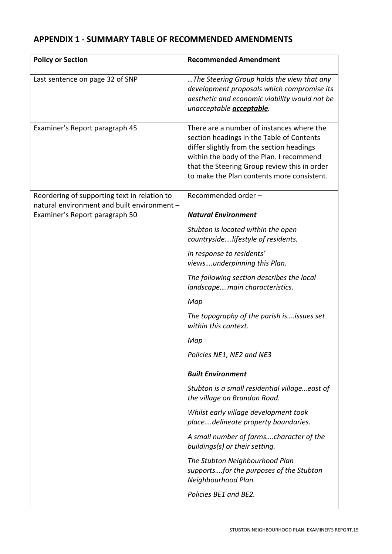## **APPENDIX 1 - SUMMARY TABLE OF RECOMMENDED AMENDMENTS**

| <b>Policy or Section</b>                                                                    | <b>Recommended Amendment</b>                                                                                                                                                                                                                                                  |
|---------------------------------------------------------------------------------------------|-------------------------------------------------------------------------------------------------------------------------------------------------------------------------------------------------------------------------------------------------------------------------------|
| Last sentence on page 32 of SNP                                                             | The Steering Group holds the view that any<br>development proposals which compromise its<br>aesthetic and economic viability would not be<br>unacceptable acceptable.                                                                                                         |
| Examiner's Report paragraph 45                                                              | There are a number of instances where the<br>section headings in the Table of Contents<br>differ slightly from the section headings<br>within the body of the Plan. I recommend<br>that the Steering Group review this in order<br>to make the Plan contents more consistent. |
| Reordering of supporting text in relation to<br>natural environment and built environment - | Recommended order -                                                                                                                                                                                                                                                           |
| Examiner's Report paragraph 50                                                              | <b>Natural Environment</b>                                                                                                                                                                                                                                                    |
|                                                                                             | Stubton is located within the open<br>countrysidelifestyle of residents.                                                                                                                                                                                                      |
|                                                                                             | In response to residents'<br>viewsunderpinning this Plan.                                                                                                                                                                                                                     |
|                                                                                             | The following section describes the local<br>landscapemain characteristics.                                                                                                                                                                                                   |
|                                                                                             | Map                                                                                                                                                                                                                                                                           |
|                                                                                             | The topography of the parish isissues set<br>within this context.                                                                                                                                                                                                             |
|                                                                                             | Map                                                                                                                                                                                                                                                                           |
|                                                                                             | Policies NE1, NE2 and NE3                                                                                                                                                                                                                                                     |
|                                                                                             | <b>Built Environment</b>                                                                                                                                                                                                                                                      |
|                                                                                             | Stubton is a small residential villageeast of<br>the village on Brandon Road.                                                                                                                                                                                                 |
|                                                                                             | Whilst early village development took<br>placedelineate property boundaries.                                                                                                                                                                                                  |
|                                                                                             | A small number of farmscharacter of the<br>buildings(s) or their setting.                                                                                                                                                                                                     |
|                                                                                             | The Stubton Neighbourhood Plan<br>supportsfor the purposes of the Stubton<br>Neighbourhood Plan.                                                                                                                                                                              |
|                                                                                             | Policies BE1 and BE2.                                                                                                                                                                                                                                                         |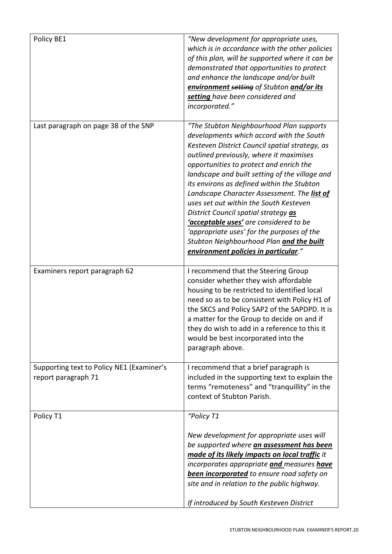| Policy BE1                                                       | "New development for appropriate uses,<br>which is in accordance with the other policies<br>of this plan, will be supported where it can be<br>demonstrated that opportunities to protect<br>and enhance the landscape and/or built<br>environment setting of Stubton and/or its<br>setting have been considered and<br>incorporated."                                                                                                                                                                                                                                                                                                           |
|------------------------------------------------------------------|--------------------------------------------------------------------------------------------------------------------------------------------------------------------------------------------------------------------------------------------------------------------------------------------------------------------------------------------------------------------------------------------------------------------------------------------------------------------------------------------------------------------------------------------------------------------------------------------------------------------------------------------------|
| Last paragraph on page 38 of the SNP                             | "The Stubton Neighbourhood Plan supports<br>developments which accord with the South<br>Kesteven District Council spatial strategy, as<br>outlined previously, where it maximises<br>opportunities to protect and enrich the<br>landscape and built setting of the village and<br>its environs as defined within the Stubton<br>Landscape Character Assessment. The list of<br>uses set out within the South Kesteven<br>District Council spatial strategy as<br><u>'acceptable uses'</u> are considered to be<br>'appropriate uses' for the purposes of the<br>Stubton Neighbourhood Plan and the built<br>environment policies in particular." |
| Examiners report paragraph 62                                    | I recommend that the Steering Group<br>consider whether they wish affordable<br>housing to be restricted to identified local<br>need so as to be consistent with Policy H1 of<br>the SKCS and Policy SAP2 of the SAPDPD. It is<br>a matter for the Group to decide on and if<br>they do wish to add in a reference to this it<br>would be best incorporated into the<br>paragraph above.                                                                                                                                                                                                                                                         |
| Supporting text to Policy NE1 (Examiner's<br>report paragraph 71 | I recommend that a brief paragraph is<br>included in the supporting text to explain the<br>terms "remoteness" and "tranquillity" in the<br>context of Stubton Parish.                                                                                                                                                                                                                                                                                                                                                                                                                                                                            |
| Policy T1                                                        | "Policy T1<br>New development for appropriate uses will<br>be supported where an assessment has been<br>made of its likely impacts on local traffic it<br>incorporates appropriate and measures have<br>been incorporated to ensure road safety on<br>site and in relation to the public highway.<br>If introduced by South Kesteven District                                                                                                                                                                                                                                                                                                    |